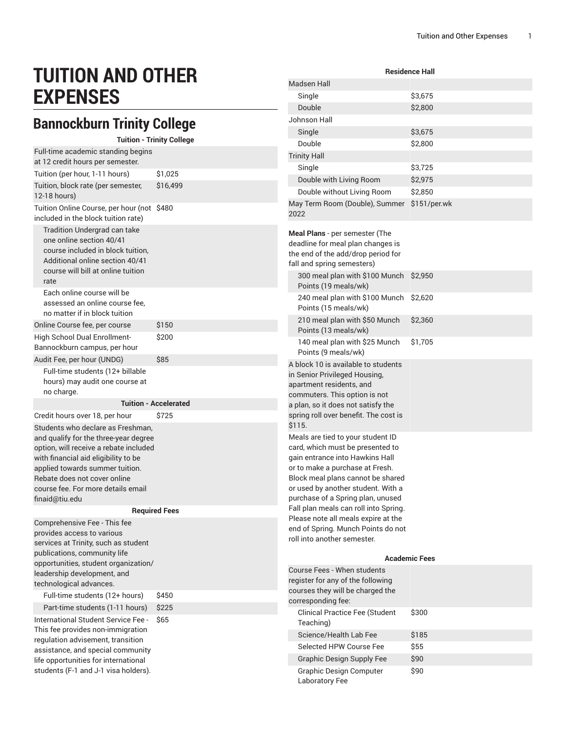# **TUITION AND OTHER EXPENSES**

### **Bannockburn Trinity College**

#### Tuition - Trinity College

| Full-time academic standing begins<br>at 12 credit hours per semester.                                                                                                                                                                                                                  |                              |
|-----------------------------------------------------------------------------------------------------------------------------------------------------------------------------------------------------------------------------------------------------------------------------------------|------------------------------|
| Tuition (per hour, 1-11 hours)                                                                                                                                                                                                                                                          | \$1,025                      |
| Tuition, block rate (per semester,<br>12-18 hours)                                                                                                                                                                                                                                      | \$16,499                     |
| Tuition Online Course, per hour (not \$480<br>included in the block tuition rate)                                                                                                                                                                                                       |                              |
| <b>Tradition Undergrad can take</b><br>one online section 40/41<br>course included in block tuition.<br>Additional online section 40/41<br>course will bill at online tuition<br>rate                                                                                                   |                              |
| Each online course will be<br>assessed an online course fee,<br>no matter if in block tuition                                                                                                                                                                                           |                              |
| Online Course fee, per course                                                                                                                                                                                                                                                           | \$150                        |
| High School Dual Enrollment-<br>Bannockburn campus, per hour                                                                                                                                                                                                                            | \$200                        |
| Audit Fee, per hour (UNDG)                                                                                                                                                                                                                                                              | \$85                         |
| Full-time students (12+ billable<br>hours) may audit one course at<br>no charge.                                                                                                                                                                                                        |                              |
|                                                                                                                                                                                                                                                                                         | <b>Tuition - Accelerated</b> |
| Credit hours over 18, per hour                                                                                                                                                                                                                                                          | \$725                        |
| Students who declare as Freshman,<br>and qualify for the three-year degree<br>option, will receive a rebate included<br>with financial aid eligibility to be<br>applied towards summer tuition.<br>Rebate does not cover online<br>course fee. For more details email<br>finaid@tiu.edu |                              |
|                                                                                                                                                                                                                                                                                         | <b>Required Fees</b>         |
| Comprehensive Fee - This fee<br>provides access to various<br>services at Trinity, such as student<br>publications, community life<br>opportunities, student organization/<br>leadership development, and<br>technological advances.                                                    |                              |
| Full-time students (12+ hours)                                                                                                                                                                                                                                                          | \$450                        |
| Part-time students (1-11 hours)                                                                                                                                                                                                                                                         | \$225                        |
| International Student Service Fee -<br>This fee provides non-immigration<br>regulation advisement, transition<br>assistance, and special community                                                                                                                                      | \$65                         |

life opportunities for international students (F-1 and J-1 visa holders).

| <b>Residence Hall</b>                                                                                                                                                                                                                                                                                                                                                                                            |                      |  |
|------------------------------------------------------------------------------------------------------------------------------------------------------------------------------------------------------------------------------------------------------------------------------------------------------------------------------------------------------------------------------------------------------------------|----------------------|--|
| <b>Madsen Hall</b>                                                                                                                                                                                                                                                                                                                                                                                               |                      |  |
| Single                                                                                                                                                                                                                                                                                                                                                                                                           | \$3,675              |  |
| Double                                                                                                                                                                                                                                                                                                                                                                                                           | \$2,800              |  |
| Johnson Hall                                                                                                                                                                                                                                                                                                                                                                                                     |                      |  |
| Single                                                                                                                                                                                                                                                                                                                                                                                                           | \$3,675              |  |
| Double                                                                                                                                                                                                                                                                                                                                                                                                           | \$2,800              |  |
| <b>Trinity Hall</b>                                                                                                                                                                                                                                                                                                                                                                                              |                      |  |
| Single                                                                                                                                                                                                                                                                                                                                                                                                           | \$3,725              |  |
| Double with Living Room                                                                                                                                                                                                                                                                                                                                                                                          | \$2,975              |  |
| Double without Living Room                                                                                                                                                                                                                                                                                                                                                                                       | \$2,850              |  |
| May Term Room (Double), Summer<br>2022                                                                                                                                                                                                                                                                                                                                                                           | \$151/per.wk         |  |
| Meal Plans - per semester (The<br>deadline for meal plan changes is<br>the end of the add/drop period for<br>fall and spring semesters)                                                                                                                                                                                                                                                                          |                      |  |
| 300 meal plan with \$100 Munch<br>Points (19 meals/wk)                                                                                                                                                                                                                                                                                                                                                           | \$2,950              |  |
| 240 meal plan with \$100 Munch<br>Points (15 meals/wk)                                                                                                                                                                                                                                                                                                                                                           | \$2,620              |  |
| 210 meal plan with \$50 Munch<br>Points (13 meals/wk)                                                                                                                                                                                                                                                                                                                                                            | \$2,360              |  |
| 140 meal plan with \$25 Munch<br>Points (9 meals/wk)                                                                                                                                                                                                                                                                                                                                                             | \$1,705              |  |
| A block 10 is available to students<br>in Senior Privileged Housing,<br>apartment residents, and<br>commuters. This option is not<br>a plan, so it does not satisfy the<br>spring roll over benefit. The cost is<br>\$115.                                                                                                                                                                                       |                      |  |
| Meals are tied to your student ID<br>card, which must be presented to<br>gain entrance into Hawkins Hall<br>or to make a purchase at Fresh.<br>Block meal plans cannot be shared<br>or used by another student. With a<br>purchase of a Spring plan, unused<br>Fall plan meals can roll into Spring.<br>Please note all meals expire at the<br>end of Spring. Munch Points do not<br>roll into another semester. |                      |  |
|                                                                                                                                                                                                                                                                                                                                                                                                                  | <b>Academic Fees</b> |  |
| Course Fees - When students<br>register for any of the following<br>courses they will be charged the<br>corresponding fee:                                                                                                                                                                                                                                                                                       |                      |  |
| <b>Clinical Practice Fee (Student</b><br>Teaching)                                                                                                                                                                                                                                                                                                                                                               | \$300                |  |
| Science/Health Lab Fee                                                                                                                                                                                                                                                                                                                                                                                           | \$185                |  |
| Selected HPW Course Fee                                                                                                                                                                                                                                                                                                                                                                                          | \$55                 |  |
| <b>Graphic Design Supply Fee</b>                                                                                                                                                                                                                                                                                                                                                                                 | \$90                 |  |
| <b>Graphic Design Computer</b><br>Laboratory Fee                                                                                                                                                                                                                                                                                                                                                                 | \$90                 |  |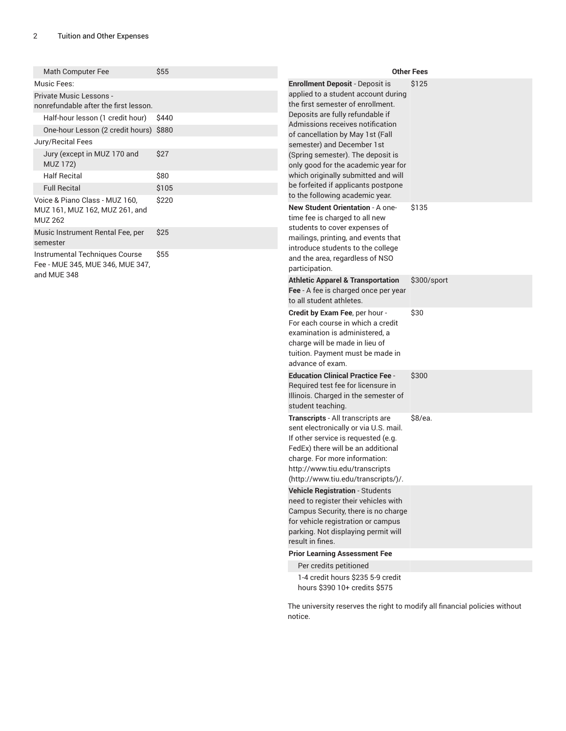| Math Computer Fee                                                | \$55  |                                                                             | <b>Other Fees</b> |
|------------------------------------------------------------------|-------|-----------------------------------------------------------------------------|-------------------|
| Music Fees:                                                      |       | <b>Enrollment Deposit - Deposit is</b>                                      | \$125             |
| Private Music Lessons -<br>nonrefundable after the first lesson. |       | applied to a student account during<br>the first semester of enrollment.    |                   |
| Half-hour lesson (1 credit hour)                                 | \$440 | Deposits are fully refundable if<br>Admissions receives notification        |                   |
| One-hour Lesson (2 credit hours) \$880                           |       | of cancellation by May 1st (Fall                                            |                   |
| Jury/Recital Fees                                                |       | semester) and December 1st                                                  |                   |
| Jury (except in MUZ 170 and<br><b>MUZ 172)</b>                   | \$27  | (Spring semester). The deposit is<br>only good for the academic year for    |                   |
| <b>Half Recital</b>                                              | \$80  | which originally submitted and will                                         |                   |
| <b>Full Recital</b>                                              | \$105 | be forfeited if applicants postpone                                         |                   |
| Voice & Piano Class - MUZ 160,                                   | \$220 | to the following academic year.                                             |                   |
| MUZ 161, MUZ 162, MUZ 261, and<br><b>MUZ 262</b>                 |       | New Student Orientation - A one-<br>\$135<br>time fee is charged to all new |                   |
| Music Instrument Rental Fee, per                                 | \$25  | students to cover expenses of                                               |                   |
| semester                                                         |       | mailings, printing, and events that<br>introduce students to the college    |                   |
| Instrumental Techniques Course                                   | \$55  | and the area, regardless of NSO                                             |                   |
| Fee - MUE 345, MUE 346, MUE 347,                                 |       | participation.                                                              |                   |
| and MUE 348                                                      |       | <b>Athletic Apparel &amp; Transportation</b>                                | \$300/sport       |
|                                                                  |       | Fee - A fee is charged once per year                                        |                   |
|                                                                  |       | to all student athletes.                                                    |                   |
|                                                                  |       | Credit by Exam Fee, per hour -<br>For each course in which a credit         | \$30              |
|                                                                  |       | examination is administered, a                                              |                   |
|                                                                  |       | charge will be made in lieu of                                              |                   |
|                                                                  |       | tuition. Payment must be made in                                            |                   |
|                                                                  |       | advance of exam.                                                            |                   |
|                                                                  |       | <b>Education Clinical Practice Fee -</b>                                    | \$300             |
|                                                                  |       | Required test fee for licensure in<br>Illinois. Charged in the semester of  |                   |
|                                                                  |       | student teaching.                                                           |                   |
|                                                                  |       | Transcripts - All transcripts are                                           | \$8/ea.           |
|                                                                  |       | sent electronically or via U.S. mail.                                       |                   |
|                                                                  |       | If other service is requested (e.g.                                         |                   |
|                                                                  |       | FedEx) there will be an additional                                          |                   |
|                                                                  |       | charge. For more information:<br>http://www.tiu.edu/transcripts             |                   |
|                                                                  |       | (http://www.tiu.edu/transcripts/)/.                                         |                   |
|                                                                  |       | <b>Vehicle Registration - Students</b>                                      |                   |
|                                                                  |       | need to register their vehicles with                                        |                   |
|                                                                  |       | Campus Security, there is no charge<br>for vehicle registration or campus   |                   |
|                                                                  |       | parking. Not displaying permit will                                         |                   |
|                                                                  |       | result in fines.                                                            |                   |
|                                                                  |       | <b>Prior Learning Assessment Fee</b>                                        |                   |
|                                                                  |       | Per credits petitioned                                                      |                   |
|                                                                  |       | 1-4 credit hours \$235 5-9 credit<br>hours \$390 10+ credits \$575          |                   |
|                                                                  |       |                                                                             |                   |

The university reserves the right to modify all financial policies without notice.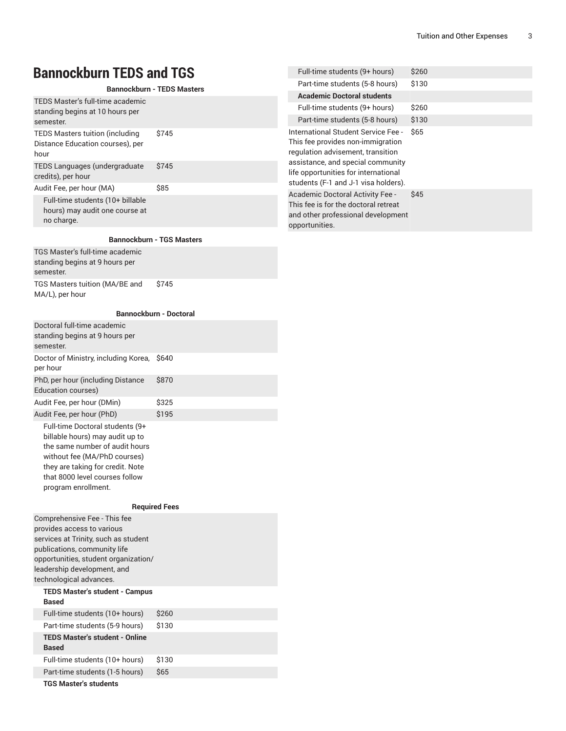### **Bannockburn TEDS and TGS**

#### **Bannockburn - TEDS Masters**

| TEDS Master's full-time academic<br>standing begins at 10 hours per<br>semester.   |       |
|------------------------------------------------------------------------------------|-------|
| <b>TEDS Masters tuition (including</b><br>Distance Education courses), per<br>hour | \$745 |
| TEDS Languages (undergraduate<br>credits), per hour                                | \$745 |
| Audit Fee, per hour (MA)                                                           | \$85  |
| Full-time students (10+ billable<br>hours) may audit one course at<br>no charge.   |       |

#### **Bannockburn - TGS Masters**

TGS Master's full-time academic standing begins at 9 hours per semester. TGS Masters tuition (MA/BE and MA/L), per hour \$745

#### **Bannockburn - Doctoral**

| Doctoral full-time academic<br>standing begins at 9 hours per<br>semester.                                                                                                                                                           |                      |
|--------------------------------------------------------------------------------------------------------------------------------------------------------------------------------------------------------------------------------------|----------------------|
| Doctor of Ministry, including Korea,<br>per hour                                                                                                                                                                                     | \$640                |
| PhD, per hour (including Distance<br>Education courses)                                                                                                                                                                              | \$870                |
| Audit Fee, per hour (DMin)                                                                                                                                                                                                           | \$325                |
| Audit Fee, per hour (PhD)                                                                                                                                                                                                            | \$195                |
| Full-time Doctoral students (9+<br>billable hours) may audit up to<br>the same number of audit hours<br>without fee (MA/PhD courses)<br>they are taking for credit. Note<br>that 8000 level courses follow<br>program enrollment.    |                      |
|                                                                                                                                                                                                                                      | <b>Required Fees</b> |
| Comprehensive Fee - This fee<br>provides access to various<br>services at Trinity, such as student<br>publications, community life<br>opportunities, student organization/<br>leadership development, and<br>technological advances. |                      |
| <b>TEDS Master's student - Campus</b><br><b>Based</b>                                                                                                                                                                                |                      |
| Full-time students (10+ hours)                                                                                                                                                                                                       | \$260                |
| Part-time students (5-9 hours)                                                                                                                                                                                                       | \$130                |

| Part-time students (5-9 hours)        | \$130            |
|---------------------------------------|------------------|
| <b>TEDS Master's student - Online</b> |                  |
| <b>Based</b>                          |                  |
| Full-time students (10+ hours)        | S <sub>130</sub> |
| Part-time students (1-5 hours)        | <b>S65</b>       |
|                                       |                  |

**TGS Master's students**

| Full-time students (9+ hours)                                                                                                                                                                                                      | S <sub>260</sub> |
|------------------------------------------------------------------------------------------------------------------------------------------------------------------------------------------------------------------------------------|------------------|
| Part-time students (5-8 hours)                                                                                                                                                                                                     | \$130            |
| <b>Academic Doctoral students</b>                                                                                                                                                                                                  |                  |
| Full-time students (9+ hours)                                                                                                                                                                                                      | \$260            |
| Part-time students (5-8 hours)                                                                                                                                                                                                     | \$130            |
| International Student Service Fee -<br>This fee provides non-immigration<br>regulation advisement, transition<br>assistance, and special community<br>life opportunities for international<br>students (F-1 and J-1 visa holders). | \$65             |
| Academic Doctoral Activity Fee -<br>This fee is for the doctoral retreat<br>and other professional development<br>opportunities.                                                                                                   | S45              |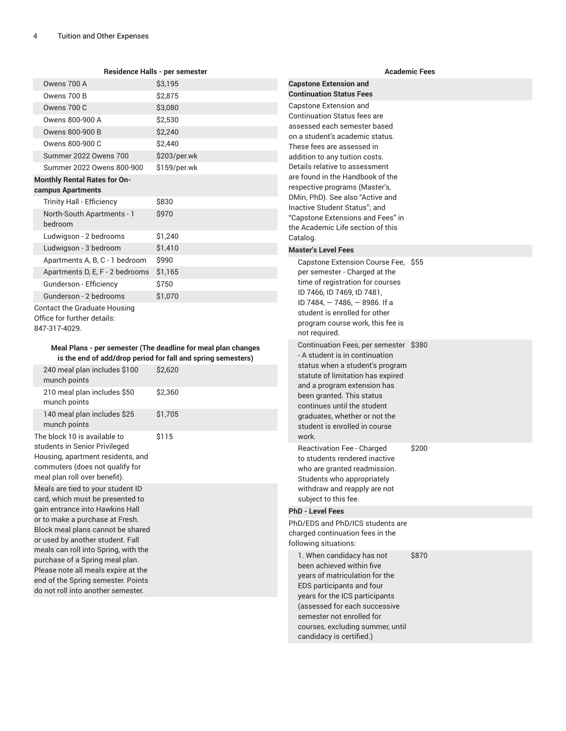#### **Residence Halls - per semester**

| Owens 700 A                                                                  | \$3,195      |
|------------------------------------------------------------------------------|--------------|
| Owens 700 B                                                                  | \$2,875      |
| Owens 700 C                                                                  | \$3,080      |
| Owens 800-900 A                                                              | \$2,530      |
| Owens 800-900 B                                                              | \$2,240      |
| Owens 800-900 C                                                              | \$2,440      |
| <b>Summer 2022 Owens 700</b>                                                 | \$203/per.wk |
| Summer 2022 Owens 800-900                                                    | \$159/per.wk |
| <b>Monthly Rental Rates for On-</b>                                          |              |
| campus Apartments                                                            |              |
| <b>Trinity Hall - Efficiency</b>                                             | \$830        |
| North-South Apartments - 1<br>bedroom                                        | \$970        |
| Ludwigson - 2 bedrooms                                                       | \$1,240      |
| Ludwigson - 3 bedroom                                                        | \$1,410      |
| Apartments A, B, C - 1 bedroom                                               | \$990        |
| Apartments D, E, F - 2 bedrooms                                              | \$1,165      |
| Gunderson - Efficiency                                                       | \$750        |
| Gunderson - 2 bedrooms                                                       | \$1,070      |
| Contact the Graduate Housing<br>Office for further details:<br>847-317-4029. |              |

#### **Meal Plans - per semester (The deadline for meal plan changes is the end of add/drop period for fall and spring semesters)**

| 240 meal plan includes \$100<br>munch points                                                                                                                                                                                                                                                                                                                                                                       | \$2,620 |
|--------------------------------------------------------------------------------------------------------------------------------------------------------------------------------------------------------------------------------------------------------------------------------------------------------------------------------------------------------------------------------------------------------------------|---------|
| 210 meal plan includes \$50<br>munch points                                                                                                                                                                                                                                                                                                                                                                        | \$2,360 |
| 140 meal plan includes \$25<br>munch points                                                                                                                                                                                                                                                                                                                                                                        | \$1,705 |
| The block 10 is available to<br>students in Senior Privileged<br>Housing, apartment residents, and<br>commuters (does not qualify for<br>meal plan roll over benefit).                                                                                                                                                                                                                                             | \$115   |
| Meals are tied to your student ID<br>card, which must be presented to<br>gain entrance into Hawkins Hall<br>or to make a purchase at Fresh.<br>Block meal plans cannot be shared<br>or used by another student. Fall<br>meals can roll into Spring, with the<br>purchase of a Spring meal plan.<br>Please note all meals expire at the<br>end of the Spring semester. Points<br>do not roll into another semester. |         |

#### **Academic Fees Capstone Extension and Continuation Status Fees** Capstone Extension and Continuation Status fees are assessed each semester based on a student's academic status. These fees are assessed in addition to any tuition costs. Details relative to assessment are found in the Handbook of the respective programs (Master's, DMin, PhD). See also "Active and Inactive Student Status"; and "Capstone Extensions and Fees" in the Academic Life section of this Catalog. **Master's Level Fees** Capstone Extension Course Fee, \$55 per semester - Charged at the time of registration for courses ID 7466, ID 7469, ID 7481, ID 7484, — 7486, — 8986. If a student is enrolled for other program course work, this fee is not required. Continuation Fees, per semester \$380 - A student is in continuation status when a student's program statute of limitation has expired and a program extension has been granted. This status continues until the student graduates, whether or not the student is enrolled in course work. Reactivation Fee - Charged to students rendered inactive who are granted readmission. Students who appropriately withdraw and reapply are not subject to this fee. \$200 **PhD - Level Fees** PhD/EDS and PhD/ICS students are charged continuation fees in the following situations: 1. When candidacy has not been achieved within five years of matriculation for the EDS participants and four years for the ICS participants (assessed for each successive semester not enrolled for courses, excluding summer, until candidacy is certified.) \$870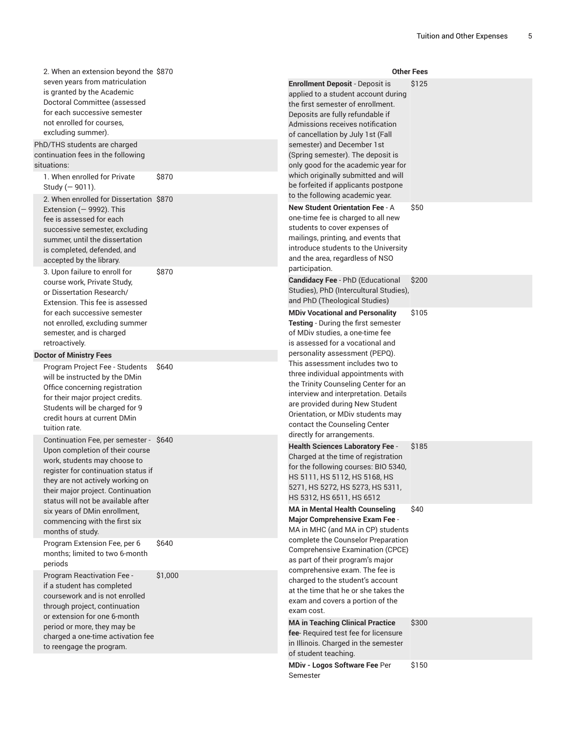| 2. When an extension beyond the \$870                                                                                                                                                                                                                                                                |                                                                                                                                                                                                                          |                                                                                                                                                                                                                                                                                                                                                                                                                         | <b>Other Fees</b> |
|------------------------------------------------------------------------------------------------------------------------------------------------------------------------------------------------------------------------------------------------------------------------------------------------------|--------------------------------------------------------------------------------------------------------------------------------------------------------------------------------------------------------------------------|-------------------------------------------------------------------------------------------------------------------------------------------------------------------------------------------------------------------------------------------------------------------------------------------------------------------------------------------------------------------------------------------------------------------------|-------------------|
| seven years from matriculation<br>is granted by the Academic<br>Doctoral Committee (assessed<br>for each successive semester<br>not enrolled for courses.<br>excluding summer).<br>PhD/THS students are charged<br>continuation fees in the following<br>situations:<br>1. When enrolled for Private | \$870                                                                                                                                                                                                                    | <b>Enrollment Deposit - Deposit is</b><br>applied to a student account during<br>the first semester of enrollment.<br>Deposits are fully refundable if<br>Admissions receives notification<br>of cancellation by July 1st (Fall<br>semester) and December 1st<br>(Spring semester). The deposit is<br>only good for the academic year for<br>which originally submitted and will<br>be forfeited if applicants postpone | \$125             |
| Study (-9011).<br>2. When enrolled for Dissertation \$870<br>Extension $(-9992)$ . This<br>fee is assessed for each<br>successive semester, excluding<br>summer, until the dissertation<br>is completed, defended, and<br>accepted by the library.                                                   |                                                                                                                                                                                                                          | to the following academic year.<br><b>New Student Orientation Fee - A</b><br>one-time fee is charged to all new<br>students to cover expenses of<br>mailings, printing, and events that<br>introduce students to the University<br>and the area, regardless of NSO<br>participation.                                                                                                                                    | \$50              |
| 3. Upon failure to enroll for<br>course work, Private Study,<br>or Dissertation Research/<br>Extension. This fee is assessed                                                                                                                                                                         | \$870                                                                                                                                                                                                                    | Candidacy Fee - PhD (Educational<br>Studies), PhD (Intercultural Studies),<br>and PhD (Theological Studies)                                                                                                                                                                                                                                                                                                             | \$200             |
| for each successive semester<br>not enrolled, excluding summer<br>semester, and is charged<br>retroactively.                                                                                                                                                                                         |                                                                                                                                                                                                                          | <b>MDiv Vocational and Personality</b><br>Testing - During the first semester<br>of MDiv studies, a one-time fee<br>is assessed for a vocational and                                                                                                                                                                                                                                                                    | \$105             |
| <b>Doctor of Ministry Fees</b><br>Program Project Fee - Students<br>will be instructed by the DMin<br>Office concerning registration<br>for their major project credits.<br>Students will be charged for 9<br>credit hours at current DMin<br>tuition rate.                                          | \$640                                                                                                                                                                                                                    | personality assessment (PEPQ).<br>This assessment includes two to<br>three individual appointments with<br>the Trinity Counseling Center for an<br>interview and interpretation. Details<br>are provided during New Student<br>Orientation, or MDiv students may<br>contact the Counseling Center<br>directly for arrangements.                                                                                         |                   |
| Continuation Fee, per semester - \$640<br>Upon completion of their course<br>work, students may choose to<br>register for continuation status if<br>they are not actively working on<br>their major project. Continuation<br>status will not be available after                                      | <b>Health Sciences Laboratory Fee -</b><br>Charged at the time of registration<br>for the following courses: BIO 5340,<br>HS 5111, HS 5112, HS 5168, HS<br>5271, HS 5272, HS 5273, HS 5311,<br>HS 5312, HS 6511, HS 6512 | \$185                                                                                                                                                                                                                                                                                                                                                                                                                   |                   |
| six vears of DMin enrollment.<br>commencing with the first six<br>months of study.                                                                                                                                                                                                                   |                                                                                                                                                                                                                          | <b>MA in Mental Health Counseling</b><br>Major Comprehensive Exam Fee -<br>MA in MHC (and MA in CP) students                                                                                                                                                                                                                                                                                                            | \$40              |
| Program Extension Fee, per 6<br>months; limited to two 6-month<br>periods                                                                                                                                                                                                                            | \$640                                                                                                                                                                                                                    | complete the Counselor Preparation<br>Comprehensive Examination (CPCE)<br>as part of their program's major<br>comprehensive exam. The fee is                                                                                                                                                                                                                                                                            |                   |
| Program Reactivation Fee -<br>if a student has completed<br>coursework and is not enrolled<br>through project, continuation<br>or extension for one 6-month                                                                                                                                          | \$1,000<br>exam cost.                                                                                                                                                                                                    | charged to the student's account<br>at the time that he or she takes the<br>exam and covers a portion of the                                                                                                                                                                                                                                                                                                            |                   |
| period or more, they may be<br>charged a one-time activation fee<br>to reengage the program.                                                                                                                                                                                                         |                                                                                                                                                                                                                          | <b>MA in Teaching Clinical Practice</b><br>fee-Required test fee for licensure<br>in Illinois. Charged in the semester<br>of student teaching.                                                                                                                                                                                                                                                                          | \$300             |
|                                                                                                                                                                                                                                                                                                      |                                                                                                                                                                                                                          | MDiv - Logos Software Fee Per<br>Semester                                                                                                                                                                                                                                                                                                                                                                               | \$150             |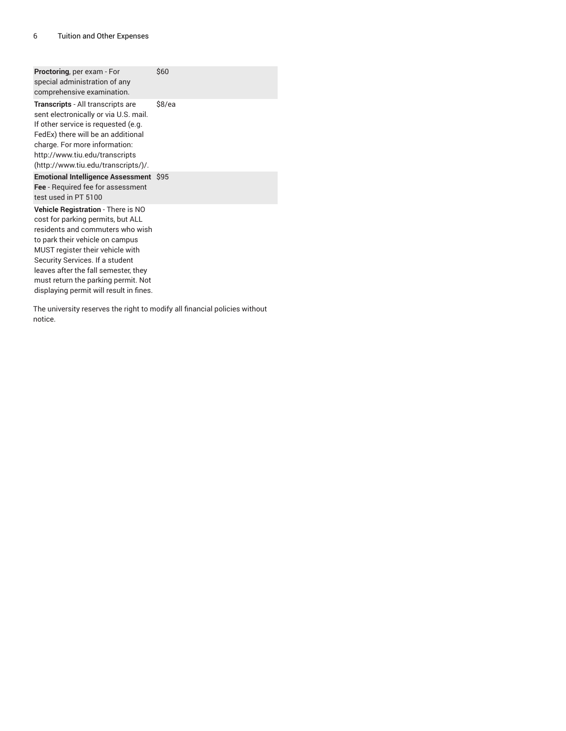| <b>Proctoring, per exam - For</b><br>special administration of any<br>comprehensive examination.                                                                                                                                                                                                                                                | \$60  |
|-------------------------------------------------------------------------------------------------------------------------------------------------------------------------------------------------------------------------------------------------------------------------------------------------------------------------------------------------|-------|
| <b>Transcripts</b> - All transcripts are<br>sent electronically or via U.S. mail.<br>If other service is requested (e.g.<br>FedEx) there will be an additional<br>charge. For more information:<br>http://www.tiu.edu/transcripts<br>(http://www.tiu.edu/transcripts/)/.                                                                        | S8/ea |
| Emotional Intelligence Assessment \$95<br>Fee - Required fee for assessment<br>test used in PT 5100                                                                                                                                                                                                                                             |       |
| Vehicle Registration - There is NO<br>cost for parking permits, but ALL<br>residents and commuters who wish<br>to park their vehicle on campus<br>MUST register their vehicle with<br>Security Services. If a student<br>leaves after the fall semester, they<br>must return the parking permit. Not<br>displaying permit will result in fines. |       |

The university reserves the right to modify all financial policies without notice.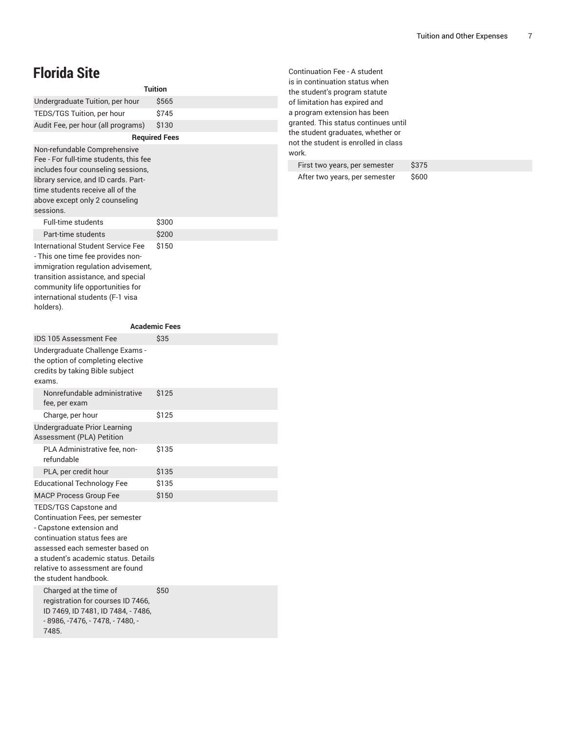### **Florida Site**

| <b>Tuition</b>                                                                                                                                                                                                                                               |                      |  |  |
|--------------------------------------------------------------------------------------------------------------------------------------------------------------------------------------------------------------------------------------------------------------|----------------------|--|--|
| Undergraduate Tuition, per hour                                                                                                                                                                                                                              | \$565                |  |  |
| TEDS/TGS Tuition, per hour                                                                                                                                                                                                                                   | \$745                |  |  |
| Audit Fee, per hour (all programs)                                                                                                                                                                                                                           | \$130                |  |  |
|                                                                                                                                                                                                                                                              | <b>Required Fees</b> |  |  |
| Non-refundable Comprehensive<br>Fee - For full-time students, this fee<br>includes four counseling sessions,<br>library service, and ID cards. Part-<br>time students receive all of the<br>above except only 2 counseling<br>sessions.                      |                      |  |  |
| <b>Full-time students</b>                                                                                                                                                                                                                                    | \$300                |  |  |
| Part-time students                                                                                                                                                                                                                                           | \$200                |  |  |
| International Student Service Fee<br>- This one time fee provides non-<br>immigration regulation advisement,<br>transition assistance, and special<br>community life opportunities for<br>international students (F-1 visa<br>holders).                      | \$150                |  |  |
|                                                                                                                                                                                                                                                              | <b>Academic Fees</b> |  |  |
| <b>IDS 105 Assessment Fee</b>                                                                                                                                                                                                                                | \$35                 |  |  |
| Undergraduate Challenge Exams -<br>the option of completing elective<br>credits by taking Bible subject<br>exams.                                                                                                                                            |                      |  |  |
| Nonrefundable administrative<br>fee, per exam                                                                                                                                                                                                                | \$125                |  |  |
| Charge, per hour                                                                                                                                                                                                                                             | \$125                |  |  |
| Undergraduate Prior Learning<br>Assessment (PLA) Petition                                                                                                                                                                                                    |                      |  |  |
| PLA Administrative fee, non-<br>refundable                                                                                                                                                                                                                   | \$135                |  |  |
| PLA, per credit hour                                                                                                                                                                                                                                         | \$135                |  |  |
| <b>Educational Technology Fee</b>                                                                                                                                                                                                                            | \$135                |  |  |
| <b>MACP Process Group Fee</b>                                                                                                                                                                                                                                | \$150                |  |  |
| TEDS/TGS Capstone and<br>Continuation Fees, per semester<br>- Capstone extension and<br>continuation status fees are<br>assessed each semester based on<br>a student's academic status. Details<br>relative to assessment are found<br>the student handbook. |                      |  |  |
| Charged at the time of<br>registration for courses ID 7466,<br>ID 7469, ID 7481, ID 7484, - 7486,<br>- 8986, -7476, - 7478, - 7480, -<br>7485.                                                                                                               | \$50                 |  |  |

Continuation Fee - A student is in continuation status when the student's program statute of limitation has expired and a program extension has been granted. This status continues until the student graduates, whether or not the student is enrolled in class work.

| First two years, per semester | \$375 |
|-------------------------------|-------|
| After two years, per semester | \$600 |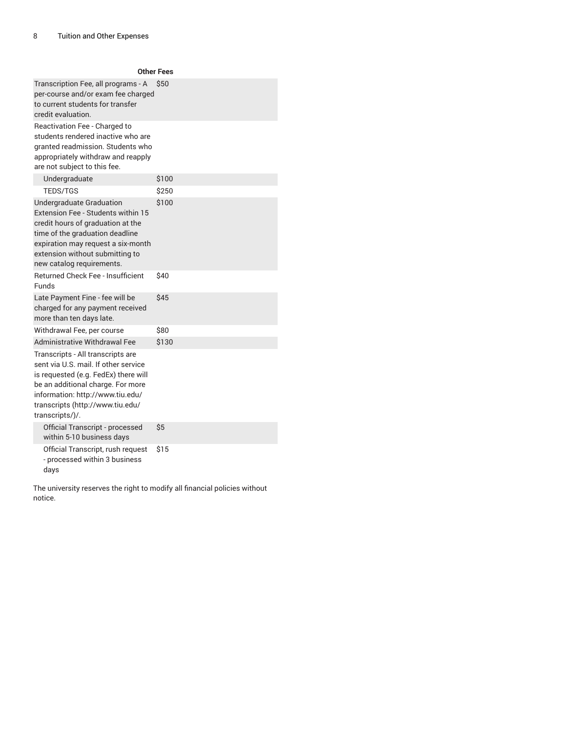| <b>Other Fees</b>                                                                                                                                                                                                                                 |            |  |
|---------------------------------------------------------------------------------------------------------------------------------------------------------------------------------------------------------------------------------------------------|------------|--|
| Transcription Fee, all programs - A<br>per-course and/or exam fee charged<br>to current students for transfer<br>credit evaluation.                                                                                                               | <b>S50</b> |  |
| Reactivation Fee - Charged to<br>students rendered inactive who are<br>granted readmission. Students who<br>appropriately withdraw and reapply<br>are not subject to this fee.                                                                    |            |  |
| Undergraduate                                                                                                                                                                                                                                     | \$100      |  |
| <b>TEDS/TGS</b>                                                                                                                                                                                                                                   | \$250      |  |
| Undergraduate Graduation<br>Extension Fee - Students within 15<br>credit hours of graduation at the<br>time of the graduation deadline<br>expiration may request a six-month<br>extension without submitting to<br>new catalog requirements.      | \$100      |  |
| <b>Returned Check Fee - Insufficient</b><br>Funds                                                                                                                                                                                                 | \$40       |  |
| Late Payment Fine - fee will be<br>charged for any payment received<br>more than ten days late.                                                                                                                                                   | \$45       |  |
| Withdrawal Fee, per course                                                                                                                                                                                                                        | \$80       |  |
| <b>Administrative Withdrawal Fee</b>                                                                                                                                                                                                              | \$130      |  |
| Transcripts - All transcripts are<br>sent via U.S. mail. If other service<br>is requested (e.g. FedEx) there will<br>be an additional charge. For more<br>information: http://www.tiu.edu/<br>transcripts (http://www.tiu.edu/<br>transcripts/)/. |            |  |
| Official Transcript - processed<br>within 5-10 business days                                                                                                                                                                                      | \$5        |  |
| Official Transcript, rush request<br>- processed within 3 business<br>days                                                                                                                                                                        | \$15       |  |

The university reserves the right to modify all financial policies without notice.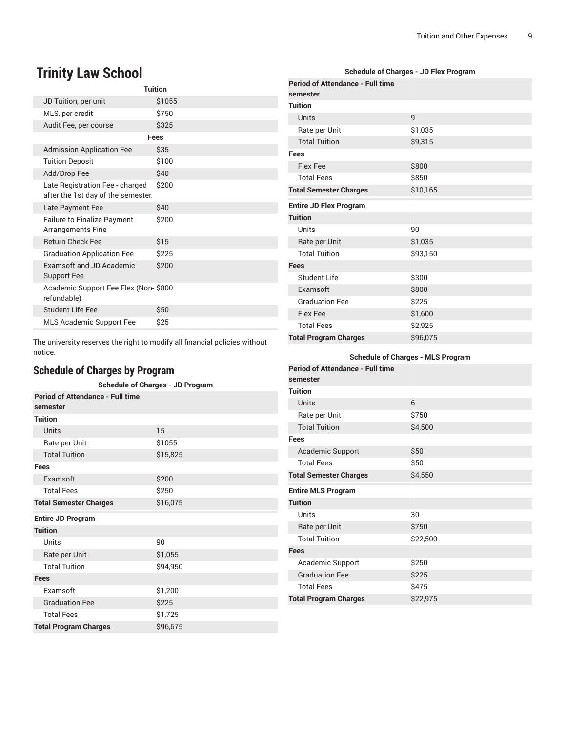## **Trinity Law School**

| <b>Tuition</b>                                                        |        |  |
|-----------------------------------------------------------------------|--------|--|
| JD Tuition, per unit                                                  | \$1055 |  |
| MLS, per credit                                                       | \$750  |  |
| Audit Fee, per course                                                 | \$325  |  |
| Fees                                                                  |        |  |
| <b>Admission Application Fee</b>                                      | \$35   |  |
| <b>Tuition Deposit</b>                                                | \$100  |  |
| Add/Drop Fee                                                          | \$40   |  |
| Late Registration Fee - charged<br>after the 1st day of the semester. | \$200  |  |
| Late Payment Fee                                                      | \$40   |  |
| <b>Failure to Finalize Payment</b><br><b>Arrangements Fine</b>        | \$200  |  |
| <b>Return Check Fee</b>                                               | \$15   |  |
| <b>Graduation Application Fee</b>                                     | \$225  |  |
| <b>Examsoft and JD Academic</b><br><b>Support Fee</b>                 | \$200  |  |
| Academic Support Fee Flex (Non- \$800<br>refundable)                  |        |  |
| <b>Student Life Fee</b>                                               | \$50   |  |
| MLS Academic Support Fee                                              | \$25   |  |

The university reserves the right to modify all financial policies without notice.

### **Schedule of Charges by Program**

| <b>Schedule of Charges - JD Program</b>             |          |  |
|-----------------------------------------------------|----------|--|
| <b>Period of Attendance - Full time</b><br>semester |          |  |
| <b>Tuition</b>                                      |          |  |
| <b>Units</b>                                        | 15       |  |
| Rate per Unit                                       | \$1055   |  |
| <b>Total Tuition</b>                                | \$15,825 |  |
| Fees                                                |          |  |
| Examsoft                                            | \$200    |  |
| <b>Total Fees</b>                                   | \$250    |  |
| <b>Total Semester Charges</b>                       | \$16,075 |  |
| <b>Entire JD Program</b>                            |          |  |
| <b>Tuition</b>                                      |          |  |
| Units                                               | 90       |  |
| Rate per Unit                                       | \$1,055  |  |
| <b>Total Tuition</b>                                | \$94,950 |  |
| <b>Fees</b>                                         |          |  |
| <b>Fxamsoft</b>                                     | \$1,200  |  |
| <b>Graduation Fee</b>                               | \$225    |  |
| <b>Total Fees</b>                                   | \$1,725  |  |
| <b>Total Program Charges</b>                        | \$96,675 |  |

| <b>Schedule of Charges - JD Flex Program</b>        |                |  |
|-----------------------------------------------------|----------------|--|
| <b>Period of Attendance - Full time</b><br>semester |                |  |
| <b>Tuition</b>                                      |                |  |
| Units                                               | $\overline{9}$ |  |
| Rate per Unit                                       | \$1,035        |  |
| <b>Total Tuition</b>                                | \$9,315        |  |
| Fees                                                |                |  |
| <b>Flex Fee</b>                                     | \$800          |  |
| <b>Total Fees</b>                                   | \$850          |  |
| <b>Total Semester Charges</b>                       | \$10,165       |  |
| <b>Entire JD Flex Program</b>                       |                |  |
| <b>Tuition</b>                                      |                |  |
| Units                                               | 90             |  |
| Rate per Unit                                       | \$1,035        |  |
| <b>Total Tuition</b>                                | \$93,150       |  |
| <b>Fees</b>                                         |                |  |
| Student Life                                        | \$300          |  |
| Examsoft                                            | \$800          |  |
| <b>Graduation Fee</b>                               | \$225          |  |
| Flex Fee                                            | \$1,600        |  |
| <b>Total Fees</b>                                   | \$2,925        |  |
| <b>Total Program Charges</b>                        | \$96,075       |  |
| <b>Schedule of Charges - MLS Program</b>            |                |  |
| <b>Period of Attendance - Full time</b><br>semester |                |  |
| <b>Tuition</b>                                      |                |  |
| <b>Contractor</b>                                   | $\epsilon$     |  |

| r enoù or Attengance - i un time<br>semester |          |
|----------------------------------------------|----------|
| Tuition                                      |          |
| <b>Units</b>                                 | 6        |
| Rate per Unit                                | \$750    |
| <b>Total Tuition</b>                         | \$4,500  |
| Fees                                         |          |
| <b>Academic Support</b>                      | \$50     |
| <b>Total Fees</b>                            | \$50     |
| <b>Total Semester Charges</b>                | \$4,550  |
| <b>Entire MLS Program</b>                    |          |
| <b>Tuition</b>                               |          |
| Units                                        | 30       |
| Rate per Unit                                | \$750    |
| <b>Total Tuition</b>                         | \$22,500 |
| Fees                                         |          |
| Academic Support                             | \$250    |
| <b>Graduation Fee</b>                        | \$225    |
| <b>Total Fees</b>                            | \$475    |
| <b>Total Program Charges</b>                 | \$22,975 |